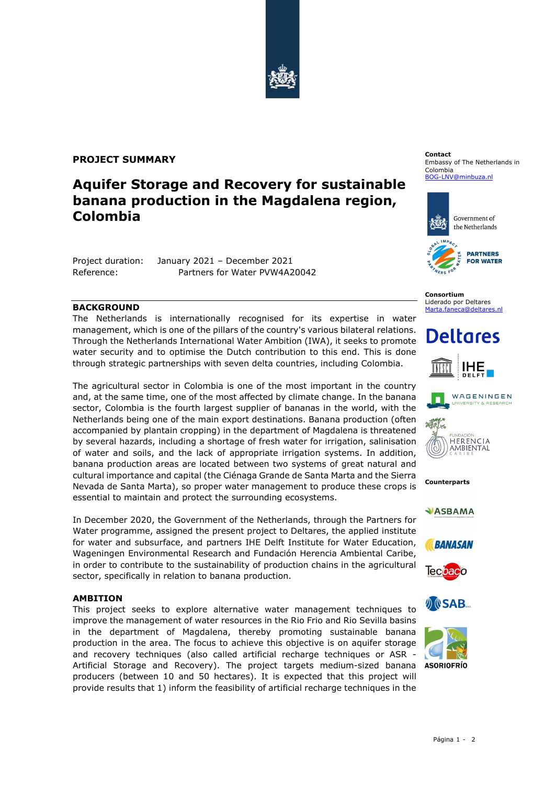

### **PROJECT SUMMARY**

## **Aquifer Storage and Recovery for sustainable banana production in the Magdalena region, Colombia**

Project duration: January 2021 – December 2021 Reference: Partners for Water PVW4A20042

#### **BACKGROUND**

The Netherlands is internationally recognised for its expertise in water management, which is one of the pillars of the country's various bilateral relations. Through the Netherlands International Water Ambition (IWA), it seeks to promote water security and to optimise the Dutch contribution to this end. This is done through strategic partnerships with seven delta countries, including Colombia.

The agricultural sector in Colombia is one of the most important in the country and, at the same time, one of the most affected by climate change. In the banana sector, Colombia is the fourth largest supplier of bananas in the world, with the Netherlands being one of the main export destinations. Banana production (often accompanied by plantain cropping) in the department of Magdalena is threatened by several hazards, including a shortage of fresh water for irrigation, salinisation of water and soils, and the lack of appropriate irrigation systems. In addition, banana production areas are located between two systems of great natural and cultural importance and capital (the Ciénaga Grande de Santa Marta and the Sierra Nevada de Santa Marta), so proper water management to produce these crops is essential to maintain and protect the surrounding ecosystems.

In December 2020, the Government of the Netherlands, through the Partners for Water programme, assigned the present project to Deltares, the applied institute for water and subsurface, and partners IHE Delft Institute for Water Education, Wageningen Environmental Research and Fundación Herencia Ambiental Caribe, in order to contribute to the sustainability of production chains in the agricultural sector, specifically in relation to banana production.

#### **AMBITION**

This project seeks to explore alternative water management techniques to improve the management of water resources in the Rio Frio and Rio Sevilla basins in the department of Magdalena, thereby promoting sustainable banana production in the area. The focus to achieve this objective is on aquifer storage and recovery techniques (also called artificial recharge techniques or ASR - Artificial Storage and Recovery). The project targets medium-sized banana producers (between 10 and 50 hectares). It is expected that this project will provide results that 1) inform the feasibility of artificial recharge techniques in the

#### **Contact** Embassy of The Netherlands in Colombia

[BOG-LNV@minbuza.nl](mailto:BOG-LNV@minbuza.nl)



**Consortium** Liderado por Deltares [Marta.faneca@deltares.nl](mailto:Marta.faneca@deltares.nl)

# **Deltares**







**Counterparts**